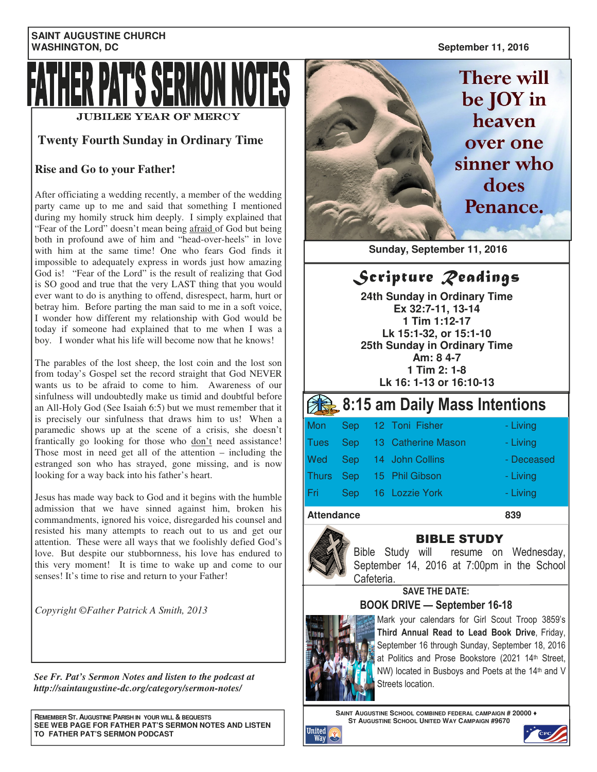#### **SAINT AUGUSTINE CHURCH WASHINGTON, DC** September 11, 2016



### **Twenty Fourth Sunday in Ordinary Time**

### **Rise and Go to your Father!**

After officiating a wedding recently, a member of the wedding party came up to me and said that something I mentioned during my homily struck him deeply. I simply explained that "Fear of the Lord" doesn't mean being afraid of God but being both in profound awe of him and "head-over-heels" in love with him at the same time! One who fears God finds it impossible to adequately express in words just how amazing God is! "Fear of the Lord" is the result of realizing that God is SO good and true that the very LAST thing that you would ever want to do is anything to offend, disrespect, harm, hurt or betray him. Before parting the man said to me in a soft voice, I wonder how different my relationship with God would be today if someone had explained that to me when I was a boy. I wonder what his life will become now that he knows!

The parables of the lost sheep, the lost coin and the lost son from today's Gospel set the record straight that God NEVER wants us to be afraid to come to him. Awareness of our sinfulness will undoubtedly make us timid and doubtful before an All-Holy God (See Isaiah 6:5) but we must remember that it is precisely our sinfulness that draws him to us! When a paramedic shows up at the scene of a crisis, she doesn't frantically go looking for those who don't need assistance! Those most in need get all of the attention – including the estranged son who has strayed, gone missing, and is now looking for a way back into his father's heart.

Jesus has made way back to God and it begins with the humble admission that we have sinned against him, broken his commandments, ignored his voice, disregarded his counsel and resisted his many attempts to reach out to us and get our attention. These were all ways that we foolishly defied God's love. But despite our stubbornness, his love has endured to this very moment! It is time to wake up and come to our senses! It's time to rise and return to your Father!

*Copyright ©Father Patrick A Smith, 2013* 

*See Fr. Pat's Sermon Notes and listen to the podcast at http://saintaugustine-dc.org/category/sermon-notes/*

**REMEMBER ST. AUGUSTINE PARISH IN YOUR WILL & BEQUESTS SEE WEB PAGE FOR FATHER PAT'S SERMON NOTES AND LISTEN TO FATHER PAT'S SERMON PODCAST** 

**There will** be JOY in heaven over one sinner who does Penance.

 **Sunday, September 11, 2016** 

Scripture *Readings* 

**24th Sunday in Ordinary Time Ex 32:7-11, 13-14 1 Tim 1:12-17 Lk 15:1-32, or 15:1-10 25th Sunday in Ordinary Time Am: 8 4-7 1 Tim 2: 1-8 Lk 16: 1-13 or 16:10-13** 

## 8:15 am Daily Mass Intentions

|     |                  | Mon Sep 12 Toni Fisher      | - Living   |
|-----|------------------|-----------------------------|------------|
|     |                  | Tues Sep 13 Catherine Mason | - Living   |
|     |                  | Wed Sep 14 John Collins     | - Deceased |
|     |                  | Thurs Sep 15 Phil Gibson    | - Living   |
| Fri | Sep <sub>c</sub> | 16 Lozzie York              | - Living   |
|     |                  |                             |            |

Attendance 839



### BIBLE STUDY

Bible Study will resume on Wednesday, September 14, 2016 at 7:00pm in the School Cafeteria.

SAVE THE DATE:

### BOOK DRIVE — September 16-18



Mark your calendars for Girl Scout Troop 3859's Third Annual Read to Lead Book Drive, Friday, September 16 through Sunday, September 18, 2016 at Politics and Prose Bookstore (2021 14th Street, NW) located in Busboys and Poets at the 14th and V Streets location.

**SAINT AUGUSTINE SCHOOL COMBINED FEDERAL CAMPAIGN # 20000** ♦ **ST AUGUSTINE SCHOOL UNITED WAY CAMPAIGN #9670**